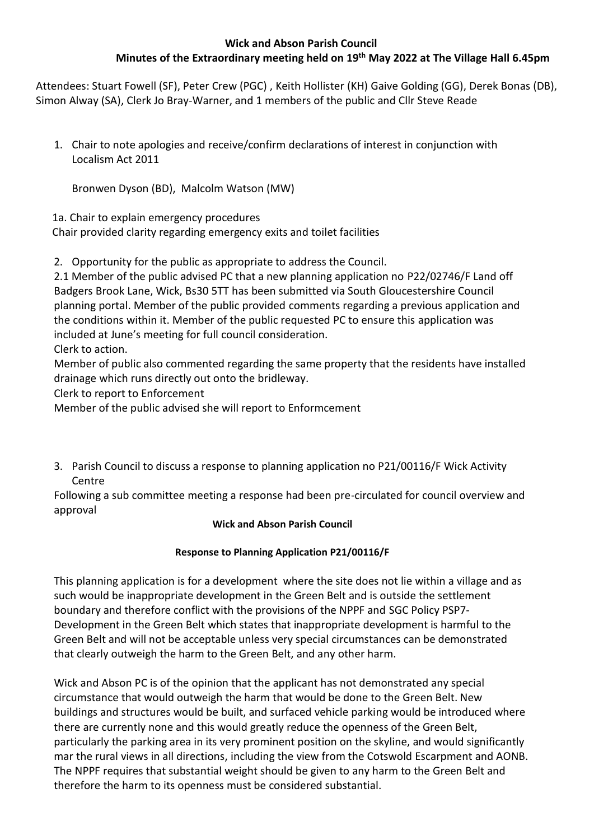## **Wick and Abson Parish Council Minutes of the Extraordinary meeting held on 19th May 2022 at The Village Hall 6.45pm**

Attendees: Stuart Fowell (SF), Peter Crew (PGC) , Keith Hollister (KH) Gaive Golding (GG), Derek Bonas (DB), Simon Alway (SA), Clerk Jo Bray-Warner, and 1 members of the public and Cllr Steve Reade

1. Chair to note apologies and receive/confirm declarations of interest in conjunction with Localism Act 2011

Bronwen Dyson (BD), Malcolm Watson (MW)

1a. Chair to explain emergency procedures

Chair provided clarity regarding emergency exits and toilet facilities

2. Opportunity for the public as appropriate to address the Council.

2.1 Member of the public advised PC that a new planning application no P22/02746/F Land off Badgers Brook Lane, Wick, Bs30 5TT has been submitted via South Gloucestershire Council planning portal. Member of the public provided comments regarding a previous application and the conditions within it. Member of the public requested PC to ensure this application was included at June's meeting for full council consideration.

Clerk to action.

Member of public also commented regarding the same property that the residents have installed drainage which runs directly out onto the bridleway.

Clerk to report to Enforcement

Member of the public advised she will report to Enformcement

3. Parish Council to discuss a response to planning application no P21/00116/F Wick Activity Centre

Following a sub committee meeting a response had been pre-circulated for council overview and approval

## **Wick and Abson Parish Council**

## **Response to Planning Application P21/00116/F**

This planning application is for a development where the site does not lie within a village and as such would be inappropriate development in the Green Belt and is outside the settlement boundary and therefore conflict with the provisions of the NPPF and SGC Policy PSP7- Development in the Green Belt which states that inappropriate development is harmful to the Green Belt and will not be acceptable unless very special circumstances can be demonstrated that clearly outweigh the harm to the Green Belt, and any other harm.

Wick and Abson PC is of the opinion that the applicant has not demonstrated any special circumstance that would outweigh the harm that would be done to the Green Belt. New buildings and structures would be built, and surfaced vehicle parking would be introduced where there are currently none and this would greatly reduce the openness of the Green Belt, particularly the parking area in its very prominent position on the skyline, and would significantly mar the rural views in all directions, including the view from the Cotswold Escarpment and AONB. The NPPF requires that substantial weight should be given to any harm to the Green Belt and therefore the harm to its openness must be considered substantial.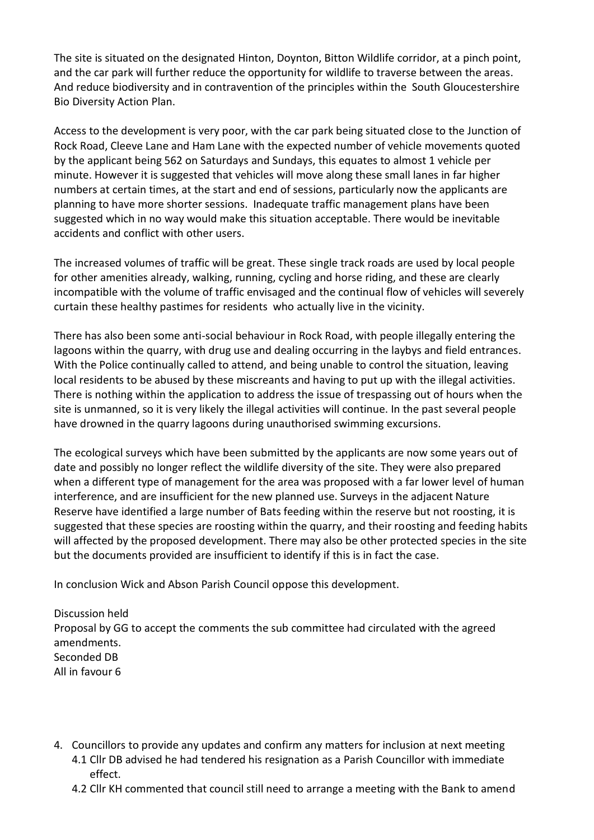The site is situated on the designated Hinton, Doynton, Bitton Wildlife corridor, at a pinch point, and the car park will further reduce the opportunity for wildlife to traverse between the areas. And reduce biodiversity and in contravention of the principles within the South Gloucestershire Bio Diversity Action Plan.

Access to the development is very poor, with the car park being situated close to the Junction of Rock Road, Cleeve Lane and Ham Lane with the expected number of vehicle movements quoted by the applicant being 562 on Saturdays and Sundays, this equates to almost 1 vehicle per minute. However it is suggested that vehicles will move along these small lanes in far higher numbers at certain times, at the start and end of sessions, particularly now the applicants are planning to have more shorter sessions. Inadequate traffic management plans have been suggested which in no way would make this situation acceptable. There would be inevitable accidents and conflict with other users.

The increased volumes of traffic will be great. These single track roads are used by local people for other amenities already, walking, running, cycling and horse riding, and these are clearly incompatible with the volume of traffic envisaged and the continual flow of vehicles will severely curtain these healthy pastimes for residents who actually live in the vicinity.

There has also been some anti-social behaviour in Rock Road, with people illegally entering the lagoons within the quarry, with drug use and dealing occurring in the laybys and field entrances. With the Police continually called to attend, and being unable to control the situation, leaving local residents to be abused by these miscreants and having to put up with the illegal activities. There is nothing within the application to address the issue of trespassing out of hours when the site is unmanned, so it is very likely the illegal activities will continue. In the past several people have drowned in the quarry lagoons during unauthorised swimming excursions.

The ecological surveys which have been submitted by the applicants are now some years out of date and possibly no longer reflect the wildlife diversity of the site. They were also prepared when a different type of management for the area was proposed with a far lower level of human interference, and are insufficient for the new planned use. Surveys in the adjacent Nature Reserve have identified a large number of Bats feeding within the reserve but not roosting, it is suggested that these species are roosting within the quarry, and their roosting and feeding habits will affected by the proposed development. There may also be other protected species in the site but the documents provided are insufficient to identify if this is in fact the case.

In conclusion Wick and Abson Parish Council oppose this development.

Discussion held Proposal by GG to accept the comments the sub committee had circulated with the agreed amendments. Seconded DB All in favour 6

- 4. Councillors to provide any updates and confirm any matters for inclusion at next meeting 4.1 Cllr DB advised he had tendered his resignation as a Parish Councillor with immediate effect.
	- 4.2 Cllr KH commented that council still need to arrange a meeting with the Bank to amend